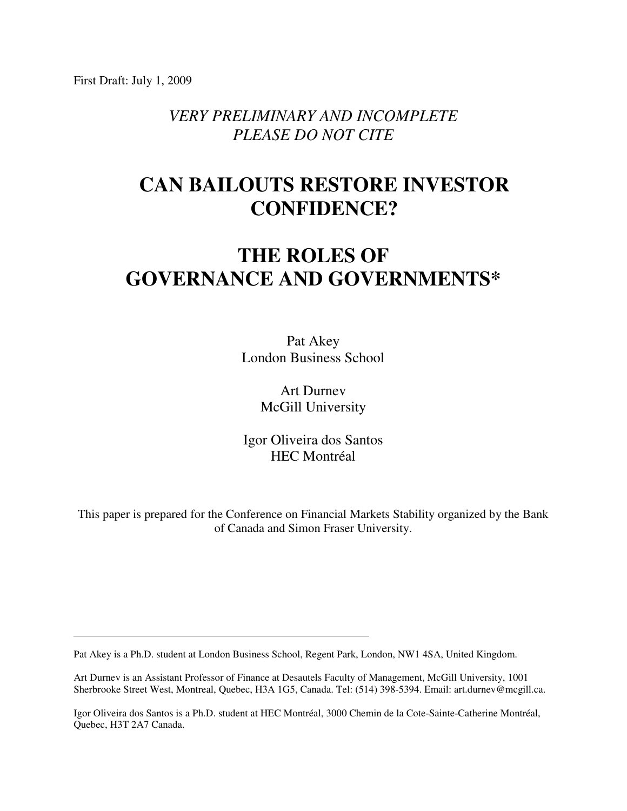First Draft: July 1, 2009

*VERY PRELIMINARY AND INCOMPLETE PLEASE DO NOT CITE* 

## **CAN BAILOUTS RESTORE INVESTOR CONFIDENCE?**

# **THE ROLES OF GOVERNANCE AND GOVERNMENTS\***

Pat Akey London Business School

> Art Durnev McGill University

Igor Oliveira dos Santos HEC Montréal

This paper is prepared for the Conference on Financial Markets Stability organized by the Bank of Canada and Simon Fraser University.

Pat Akey is a Ph.D. student at London Business School, Regent Park, London, NW1 4SA, United Kingdom.

Art Durnev is an Assistant Professor of Finance at Desautels Faculty of Management, McGill University, 1001 Sherbrooke Street West, Montreal, Quebec, H3A 1G5, Canada. Tel: (514) 398-5394. Email: art.durnev@mcgill.ca.

Igor Oliveira dos Santos is a Ph.D. student at HEC Montréal, 3000 Chemin de la Cote-Sainte-Catherine Montréal, Quebec, H3T 2A7 Canada.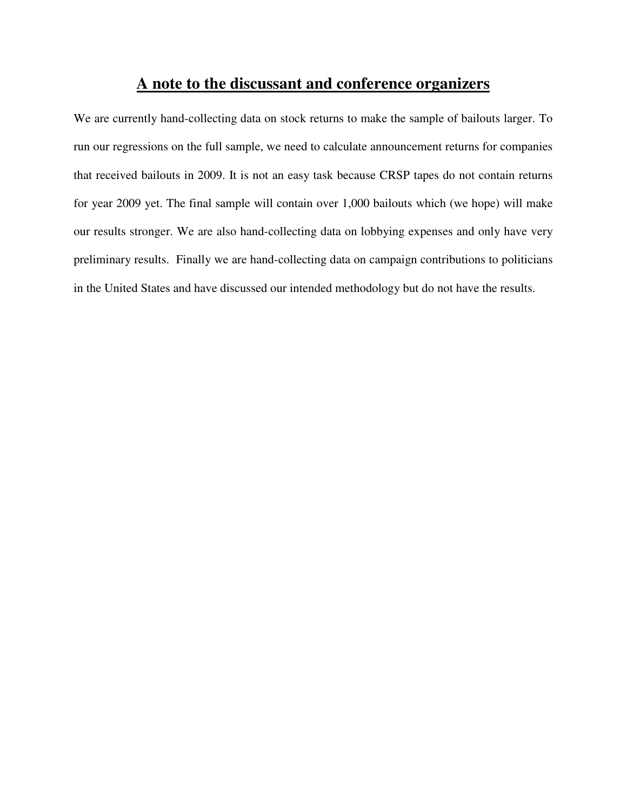## **A note to the discussant and conference organizers**

We are currently hand-collecting data on stock returns to make the sample of bailouts larger. To run our regressions on the full sample, we need to calculate announcement returns for companies that received bailouts in 2009. It is not an easy task because CRSP tapes do not contain returns for year 2009 yet. The final sample will contain over 1,000 bailouts which (we hope) will make our results stronger. We are also hand-collecting data on lobbying expenses and only have very preliminary results. Finally we are hand-collecting data on campaign contributions to politicians in the United States and have discussed our intended methodology but do not have the results.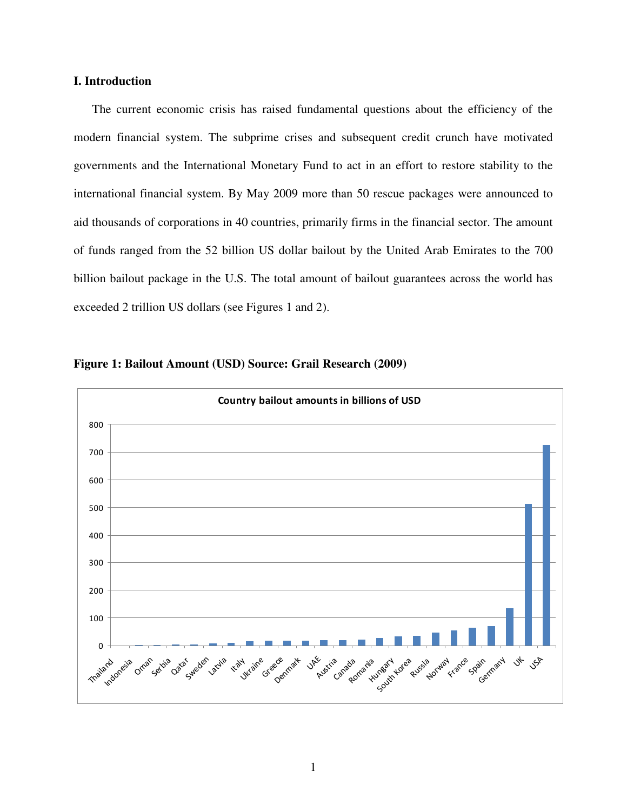## **I. Introduction**

The current economic crisis has raised fundamental questions about the efficiency of the modern financial system. The subprime crises and subsequent credit crunch have motivated governments and the International Monetary Fund to act in an effort to restore stability to the international financial system. By May 2009 more than 50 rescue packages were announced to aid thousands of corporations in 40 countries, primarily firms in the financial sector. The amount of funds ranged from the 52 billion US dollar bailout by the United Arab Emirates to the 700 billion bailout package in the U.S. The total amount of bailout guarantees across the world has exceeded 2 trillion US dollars (see Figures 1 and 2).



**Figure 1: Bailout Amount (USD) Source: Grail Research (2009)**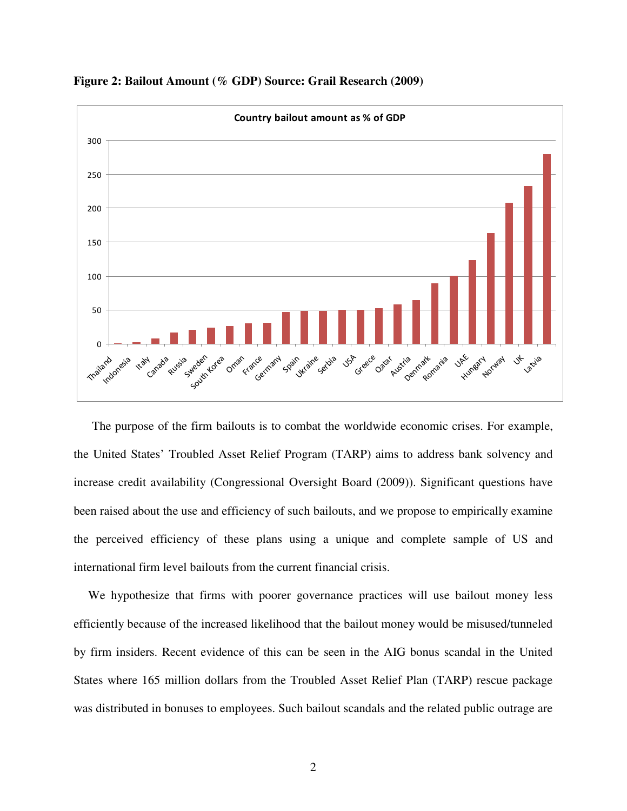

**Figure 2: Bailout Amount (% GDP) Source: Grail Research (2009)** 

The purpose of the firm bailouts is to combat the worldwide economic crises. For example, the United States' Troubled Asset Relief Program (TARP) aims to address bank solvency and increase credit availability (Congressional Oversight Board (2009)). Significant questions have been raised about the use and efficiency of such bailouts, and we propose to empirically examine the perceived efficiency of these plans using a unique and complete sample of US and international firm level bailouts from the current financial crisis.

We hypothesize that firms with poorer governance practices will use bailout money less efficiently because of the increased likelihood that the bailout money would be misused/tunneled by firm insiders. Recent evidence of this can be seen in the AIG bonus scandal in the United States where 165 million dollars from the Troubled Asset Relief Plan (TARP) rescue package was distributed in bonuses to employees. Such bailout scandals and the related public outrage are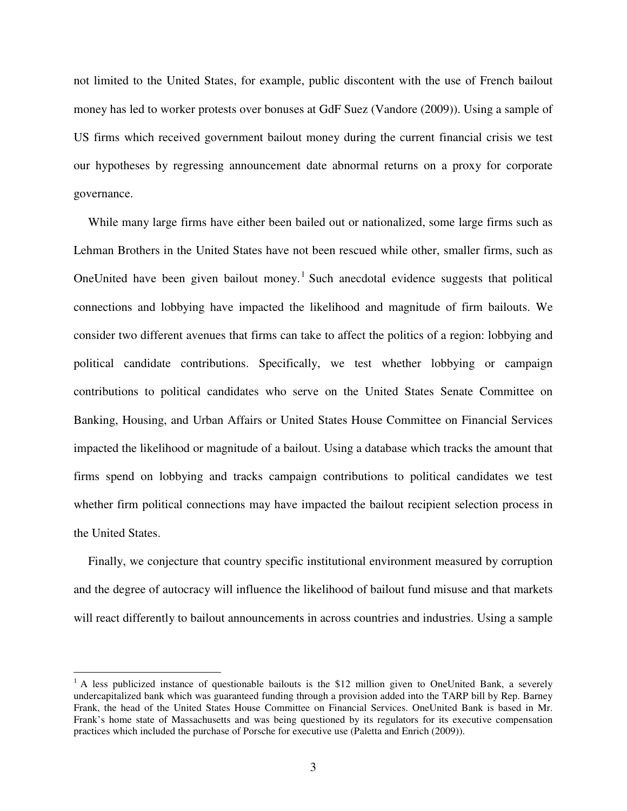not limited to the United States, for example, public discontent with the use of French bailout money has led to worker protests over bonuses at GdF Suez (Vandore (2009)). Using a sample of US firms which received government bailout money during the current financial crisis we test our hypotheses by regressing announcement date abnormal returns on a proxy for corporate governance.

While many large firms have either been bailed out or nationalized, some large firms such as Lehman Brothers in the United States have not been rescued while other, smaller firms, such as OneUnited have been given bailout money.<sup>1</sup> Such anecdotal evidence suggests that political connections and lobbying have impacted the likelihood and magnitude of firm bailouts. We consider two different avenues that firms can take to affect the politics of a region: lobbying and political candidate contributions. Specifically, we test whether lobbying or campaign contributions to political candidates who serve on the United States Senate Committee on Banking, Housing, and Urban Affairs or United States House Committee on Financial Services impacted the likelihood or magnitude of a bailout. Using a database which tracks the amount that firms spend on lobbying and tracks campaign contributions to political candidates we test whether firm political connections may have impacted the bailout recipient selection process in the United States.

Finally, we conjecture that country specific institutional environment measured by corruption and the degree of autocracy will influence the likelihood of bailout fund misuse and that markets will react differently to bailout announcements in across countries and industries. Using a sample

 $\overline{a}$ 

<sup>&</sup>lt;sup>1</sup> A less publicized instance of questionable bailouts is the \$12 million given to OneUnited Bank, a severely undercapitalized bank which was guaranteed funding through a provision added into the TARP bill by Rep. Barney Frank, the head of the United States House Committee on Financial Services. OneUnited Bank is based in Mr. Frank's home state of Massachusetts and was being questioned by its regulators for its executive compensation practices which included the purchase of Porsche for executive use (Paletta and Enrich (2009)).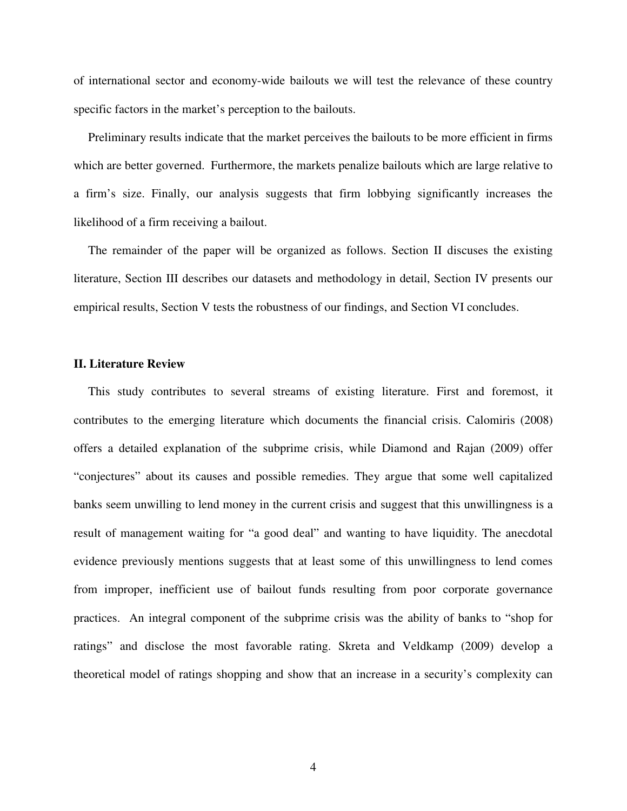of international sector and economy-wide bailouts we will test the relevance of these country specific factors in the market's perception to the bailouts.

Preliminary results indicate that the market perceives the bailouts to be more efficient in firms which are better governed. Furthermore, the markets penalize bailouts which are large relative to a firm's size. Finally, our analysis suggests that firm lobbying significantly increases the likelihood of a firm receiving a bailout.

The remainder of the paper will be organized as follows. Section II discuses the existing literature, Section III describes our datasets and methodology in detail, Section IV presents our empirical results, Section V tests the robustness of our findings, and Section VI concludes.

#### **II. Literature Review**

This study contributes to several streams of existing literature. First and foremost, it contributes to the emerging literature which documents the financial crisis. Calomiris (2008) offers a detailed explanation of the subprime crisis, while Diamond and Rajan (2009) offer "conjectures" about its causes and possible remedies. They argue that some well capitalized banks seem unwilling to lend money in the current crisis and suggest that this unwillingness is a result of management waiting for "a good deal" and wanting to have liquidity. The anecdotal evidence previously mentions suggests that at least some of this unwillingness to lend comes from improper, inefficient use of bailout funds resulting from poor corporate governance practices. An integral component of the subprime crisis was the ability of banks to "shop for ratings" and disclose the most favorable rating. Skreta and Veldkamp (2009) develop a theoretical model of ratings shopping and show that an increase in a security's complexity can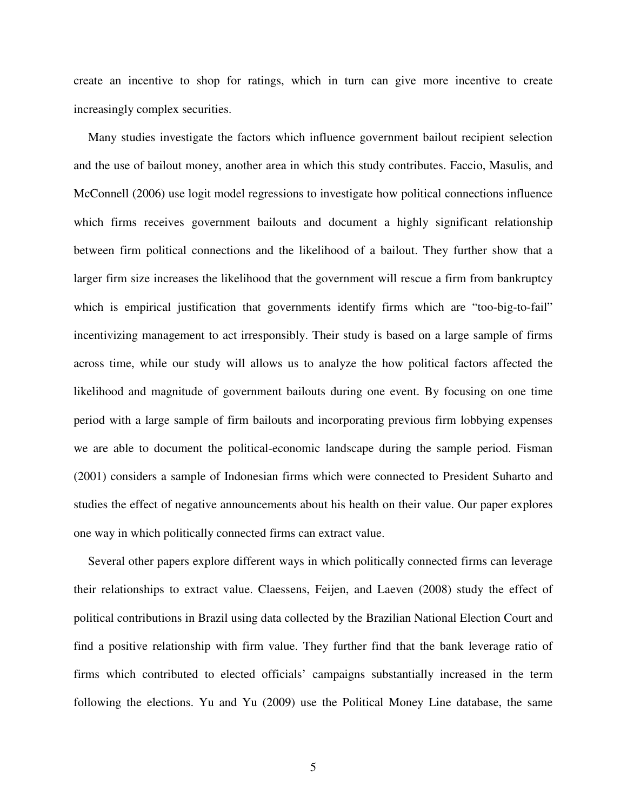create an incentive to shop for ratings, which in turn can give more incentive to create increasingly complex securities.

Many studies investigate the factors which influence government bailout recipient selection and the use of bailout money, another area in which this study contributes. Faccio, Masulis, and McConnell (2006) use logit model regressions to investigate how political connections influence which firms receives government bailouts and document a highly significant relationship between firm political connections and the likelihood of a bailout. They further show that a larger firm size increases the likelihood that the government will rescue a firm from bankruptcy which is empirical justification that governments identify firms which are "too-big-to-fail" incentivizing management to act irresponsibly. Their study is based on a large sample of firms across time, while our study will allows us to analyze the how political factors affected the likelihood and magnitude of government bailouts during one event. By focusing on one time period with a large sample of firm bailouts and incorporating previous firm lobbying expenses we are able to document the political-economic landscape during the sample period. Fisman (2001) considers a sample of Indonesian firms which were connected to President Suharto and studies the effect of negative announcements about his health on their value. Our paper explores one way in which politically connected firms can extract value.

Several other papers explore different ways in which politically connected firms can leverage their relationships to extract value. Claessens, Feijen, and Laeven (2008) study the effect of political contributions in Brazil using data collected by the Brazilian National Election Court and find a positive relationship with firm value. They further find that the bank leverage ratio of firms which contributed to elected officials' campaigns substantially increased in the term following the elections. Yu and Yu (2009) use the Political Money Line database, the same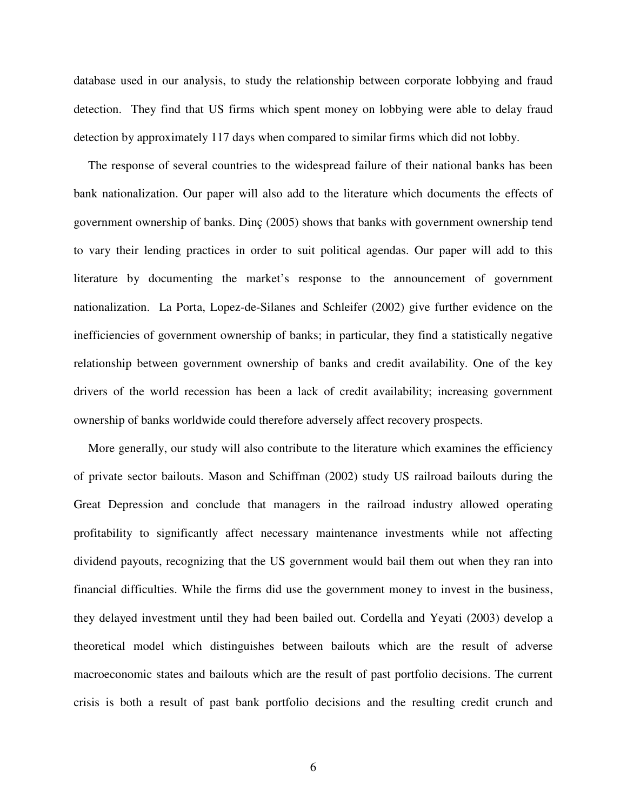database used in our analysis, to study the relationship between corporate lobbying and fraud detection. They find that US firms which spent money on lobbying were able to delay fraud detection by approximately 117 days when compared to similar firms which did not lobby.

The response of several countries to the widespread failure of their national banks has been bank nationalization. Our paper will also add to the literature which documents the effects of government ownership of banks. Dinç (2005) shows that banks with government ownership tend to vary their lending practices in order to suit political agendas. Our paper will add to this literature by documenting the market's response to the announcement of government nationalization. La Porta, Lopez-de-Silanes and Schleifer (2002) give further evidence on the inefficiencies of government ownership of banks; in particular, they find a statistically negative relationship between government ownership of banks and credit availability. One of the key drivers of the world recession has been a lack of credit availability; increasing government ownership of banks worldwide could therefore adversely affect recovery prospects.

More generally, our study will also contribute to the literature which examines the efficiency of private sector bailouts. Mason and Schiffman (2002) study US railroad bailouts during the Great Depression and conclude that managers in the railroad industry allowed operating profitability to significantly affect necessary maintenance investments while not affecting dividend payouts, recognizing that the US government would bail them out when they ran into financial difficulties. While the firms did use the government money to invest in the business, they delayed investment until they had been bailed out. Cordella and Yeyati (2003) develop a theoretical model which distinguishes between bailouts which are the result of adverse macroeconomic states and bailouts which are the result of past portfolio decisions. The current crisis is both a result of past bank portfolio decisions and the resulting credit crunch and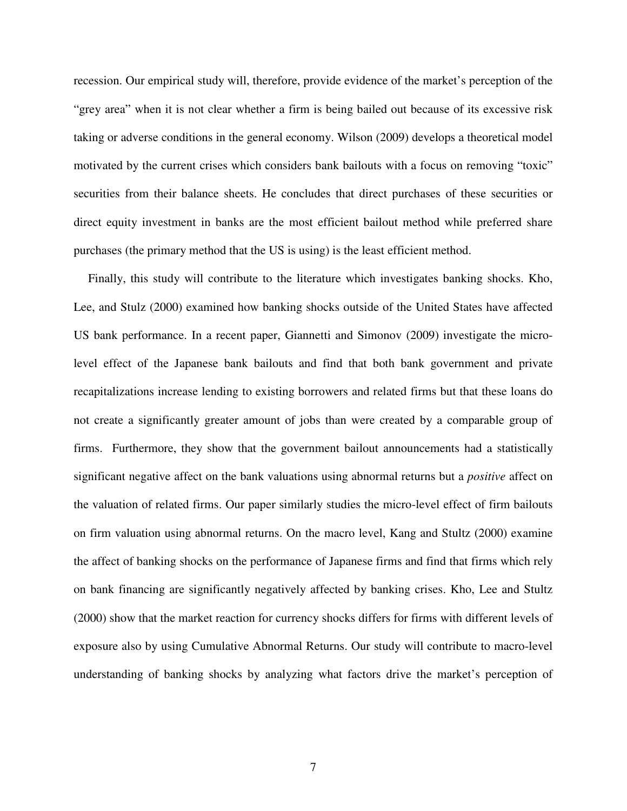recession. Our empirical study will, therefore, provide evidence of the market's perception of the "grey area" when it is not clear whether a firm is being bailed out because of its excessive risk taking or adverse conditions in the general economy. Wilson (2009) develops a theoretical model motivated by the current crises which considers bank bailouts with a focus on removing "toxic" securities from their balance sheets. He concludes that direct purchases of these securities or direct equity investment in banks are the most efficient bailout method while preferred share purchases (the primary method that the US is using) is the least efficient method.

Finally, this study will contribute to the literature which investigates banking shocks. Kho, Lee, and Stulz (2000) examined how banking shocks outside of the United States have affected US bank performance. In a recent paper, Giannetti and Simonov (2009) investigate the microlevel effect of the Japanese bank bailouts and find that both bank government and private recapitalizations increase lending to existing borrowers and related firms but that these loans do not create a significantly greater amount of jobs than were created by a comparable group of firms. Furthermore, they show that the government bailout announcements had a statistically significant negative affect on the bank valuations using abnormal returns but a *positive* affect on the valuation of related firms. Our paper similarly studies the micro-level effect of firm bailouts on firm valuation using abnormal returns. On the macro level, Kang and Stultz (2000) examine the affect of banking shocks on the performance of Japanese firms and find that firms which rely on bank financing are significantly negatively affected by banking crises. Kho, Lee and Stultz (2000) show that the market reaction for currency shocks differs for firms with different levels of exposure also by using Cumulative Abnormal Returns. Our study will contribute to macro-level understanding of banking shocks by analyzing what factors drive the market's perception of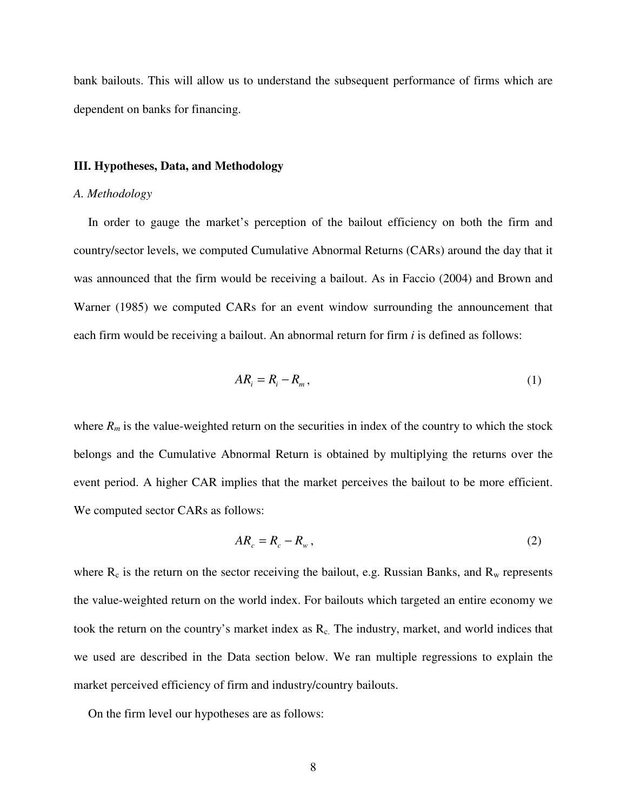bank bailouts. This will allow us to understand the subsequent performance of firms which are dependent on banks for financing.

#### **III. Hypotheses, Data, and Methodology**

#### *A. Methodology*

In order to gauge the market's perception of the bailout efficiency on both the firm and country/sector levels, we computed Cumulative Abnormal Returns (CARs) around the day that it was announced that the firm would be receiving a bailout. As in Faccio (2004) and Brown and Warner (1985) we computed CARs for an event window surrounding the announcement that each firm would be receiving a bailout. An abnormal return for firm *i* is defined as follows:

$$
AR_i = R_i - R_m, \qquad (1)
$$

where  $R_m$  is the value-weighted return on the securities in index of the country to which the stock belongs and the Cumulative Abnormal Return is obtained by multiplying the returns over the event period. A higher CAR implies that the market perceives the bailout to be more efficient. We computed sector CARs as follows:

$$
AR_c = R_c - R_w, \qquad (2)
$$

where  $R_c$  is the return on the sector receiving the bailout, e.g. Russian Banks, and  $R_w$  represents the value-weighted return on the world index. For bailouts which targeted an entire economy we took the return on the country's market index as  $R_c$ . The industry, market, and world indices that we used are described in the Data section below. We ran multiple regressions to explain the market perceived efficiency of firm and industry/country bailouts.

On the firm level our hypotheses are as follows: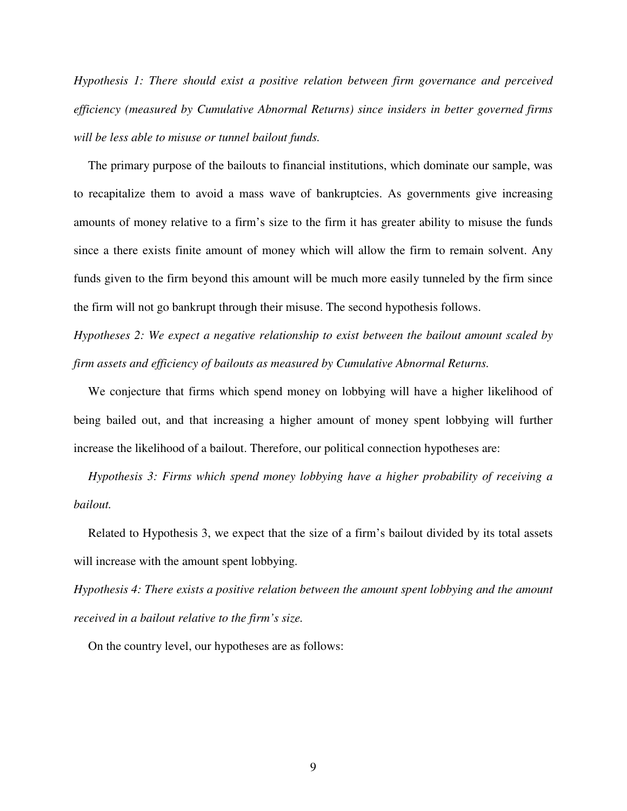*Hypothesis 1: There should exist a positive relation between firm governance and perceived efficiency (measured by Cumulative Abnormal Returns) since insiders in better governed firms will be less able to misuse or tunnel bailout funds.* 

The primary purpose of the bailouts to financial institutions, which dominate our sample, was to recapitalize them to avoid a mass wave of bankruptcies. As governments give increasing amounts of money relative to a firm's size to the firm it has greater ability to misuse the funds since a there exists finite amount of money which will allow the firm to remain solvent. Any funds given to the firm beyond this amount will be much more easily tunneled by the firm since the firm will not go bankrupt through their misuse. The second hypothesis follows.

*Hypotheses 2: We expect a negative relationship to exist between the bailout amount scaled by firm assets and efficiency of bailouts as measured by Cumulative Abnormal Returns.*

We conjecture that firms which spend money on lobbying will have a higher likelihood of being bailed out, and that increasing a higher amount of money spent lobbying will further increase the likelihood of a bailout. Therefore, our political connection hypotheses are:

*Hypothesis 3: Firms which spend money lobbying have a higher probability of receiving a bailout.*

Related to Hypothesis 3, we expect that the size of a firm's bailout divided by its total assets will increase with the amount spent lobbying.

*Hypothesis 4: There exists a positive relation between the amount spent lobbying and the amount received in a bailout relative to the firm's size.*

On the country level, our hypotheses are as follows: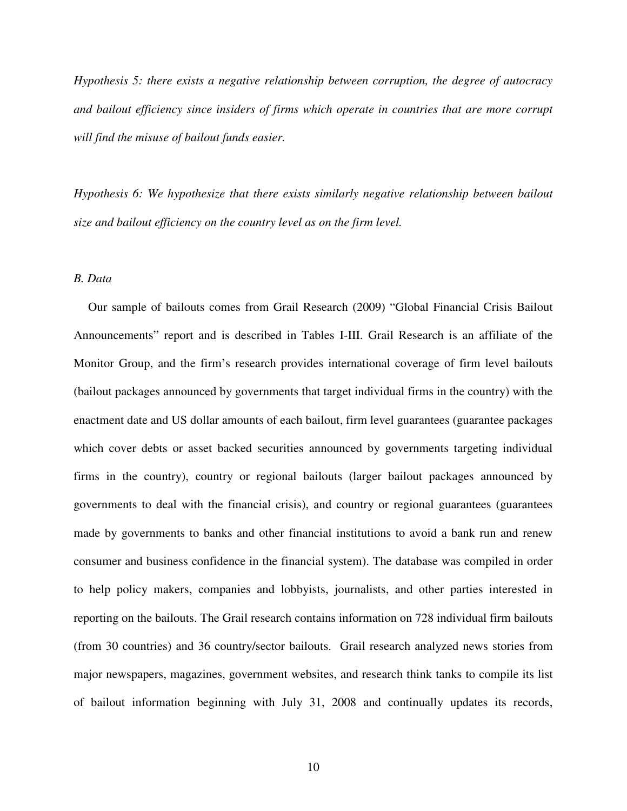*Hypothesis 5: there exists a negative relationship between corruption, the degree of autocracy and bailout efficiency since insiders of firms which operate in countries that are more corrupt will find the misuse of bailout funds easier.* 

*Hypothesis 6: We hypothesize that there exists similarly negative relationship between bailout size and bailout efficiency on the country level as on the firm level.* 

#### *B. Data*

Our sample of bailouts comes from Grail Research (2009) "Global Financial Crisis Bailout Announcements" report and is described in Tables I-III. Grail Research is an affiliate of the Monitor Group, and the firm's research provides international coverage of firm level bailouts (bailout packages announced by governments that target individual firms in the country) with the enactment date and US dollar amounts of each bailout, firm level guarantees (guarantee packages which cover debts or asset backed securities announced by governments targeting individual firms in the country), country or regional bailouts (larger bailout packages announced by governments to deal with the financial crisis), and country or regional guarantees (guarantees made by governments to banks and other financial institutions to avoid a bank run and renew consumer and business confidence in the financial system). The database was compiled in order to help policy makers, companies and lobbyists, journalists, and other parties interested in reporting on the bailouts. The Grail research contains information on 728 individual firm bailouts (from 30 countries) and 36 country/sector bailouts. Grail research analyzed news stories from major newspapers, magazines, government websites, and research think tanks to compile its list of bailout information beginning with July 31, 2008 and continually updates its records,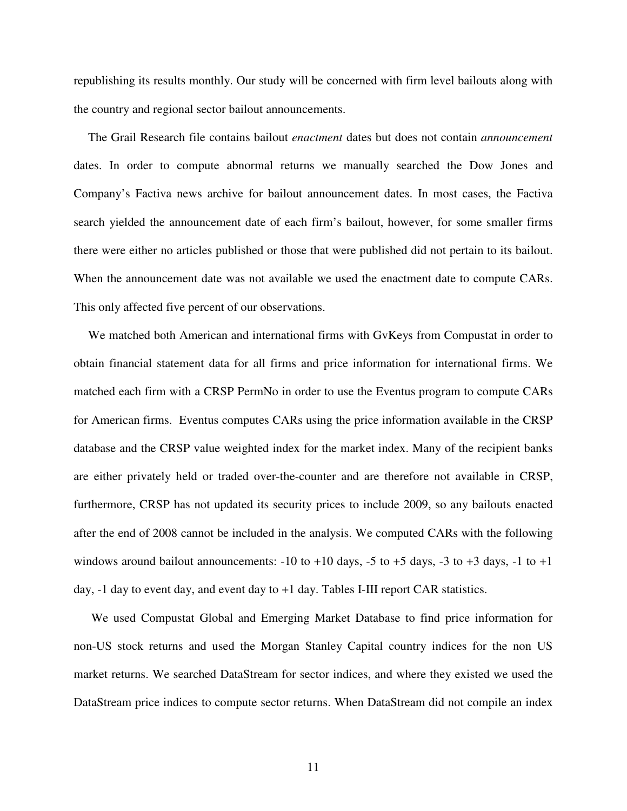republishing its results monthly. Our study will be concerned with firm level bailouts along with the country and regional sector bailout announcements.

The Grail Research file contains bailout *enactment* dates but does not contain *announcement*  dates. In order to compute abnormal returns we manually searched the Dow Jones and Company's Factiva news archive for bailout announcement dates. In most cases, the Factiva search yielded the announcement date of each firm's bailout, however, for some smaller firms there were either no articles published or those that were published did not pertain to its bailout. When the announcement date was not available we used the enactment date to compute CARs. This only affected five percent of our observations.

We matched both American and international firms with GvKeys from Compustat in order to obtain financial statement data for all firms and price information for international firms. We matched each firm with a CRSP PermNo in order to use the Eventus program to compute CARs for American firms. Eventus computes CARs using the price information available in the CRSP database and the CRSP value weighted index for the market index. Many of the recipient banks are either privately held or traded over-the-counter and are therefore not available in CRSP, furthermore, CRSP has not updated its security prices to include 2009, so any bailouts enacted after the end of 2008 cannot be included in the analysis. We computed CARs with the following windows around bailout announcements:  $-10$  to  $+10$  days,  $-5$  to  $+5$  days,  $-3$  to  $+3$  days,  $-1$  to  $+1$ day, -1 day to event day, and event day to +1 day. Tables I-III report CAR statistics.

 We used Compustat Global and Emerging Market Database to find price information for non-US stock returns and used the Morgan Stanley Capital country indices for the non US market returns. We searched DataStream for sector indices, and where they existed we used the DataStream price indices to compute sector returns. When DataStream did not compile an index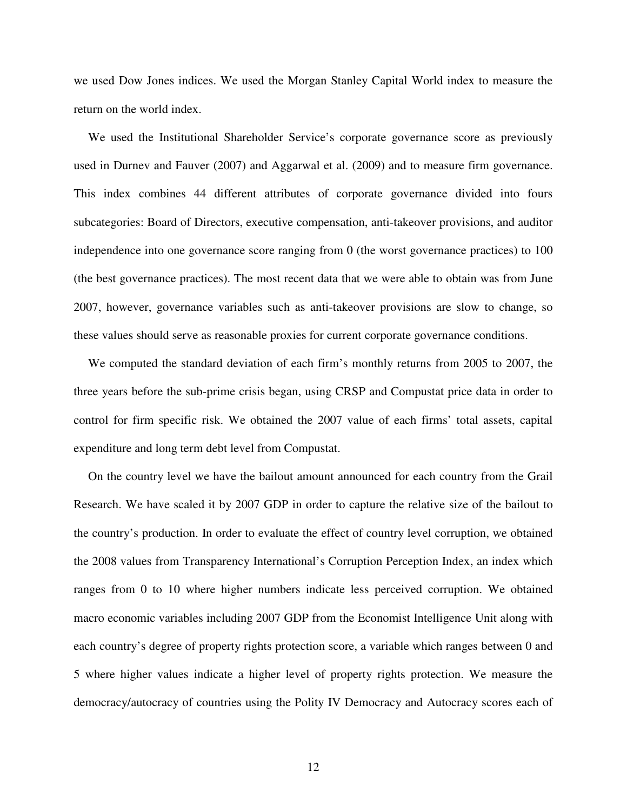we used Dow Jones indices. We used the Morgan Stanley Capital World index to measure the return on the world index.

We used the Institutional Shareholder Service's corporate governance score as previously used in Durnev and Fauver (2007) and Aggarwal et al. (2009) and to measure firm governance. This index combines 44 different attributes of corporate governance divided into fours subcategories: Board of Directors, executive compensation, anti-takeover provisions, and auditor independence into one governance score ranging from 0 (the worst governance practices) to 100 (the best governance practices). The most recent data that we were able to obtain was from June 2007, however, governance variables such as anti-takeover provisions are slow to change, so these values should serve as reasonable proxies for current corporate governance conditions.

We computed the standard deviation of each firm's monthly returns from 2005 to 2007, the three years before the sub-prime crisis began, using CRSP and Compustat price data in order to control for firm specific risk. We obtained the 2007 value of each firms' total assets, capital expenditure and long term debt level from Compustat.

On the country level we have the bailout amount announced for each country from the Grail Research. We have scaled it by 2007 GDP in order to capture the relative size of the bailout to the country's production. In order to evaluate the effect of country level corruption, we obtained the 2008 values from Transparency International's Corruption Perception Index, an index which ranges from 0 to 10 where higher numbers indicate less perceived corruption. We obtained macro economic variables including 2007 GDP from the Economist Intelligence Unit along with each country's degree of property rights protection score, a variable which ranges between 0 and 5 where higher values indicate a higher level of property rights protection. We measure the democracy/autocracy of countries using the Polity IV Democracy and Autocracy scores each of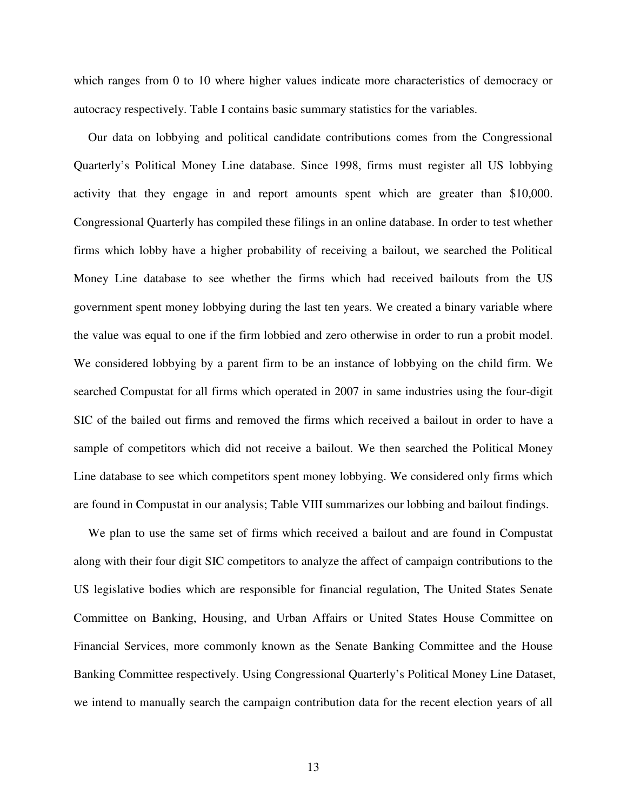which ranges from 0 to 10 where higher values indicate more characteristics of democracy or autocracy respectively. Table I contains basic summary statistics for the variables.

Our data on lobbying and political candidate contributions comes from the Congressional Quarterly's Political Money Line database. Since 1998, firms must register all US lobbying activity that they engage in and report amounts spent which are greater than \$10,000. Congressional Quarterly has compiled these filings in an online database. In order to test whether firms which lobby have a higher probability of receiving a bailout, we searched the Political Money Line database to see whether the firms which had received bailouts from the US government spent money lobbying during the last ten years. We created a binary variable where the value was equal to one if the firm lobbied and zero otherwise in order to run a probit model. We considered lobbying by a parent firm to be an instance of lobbying on the child firm. We searched Compustat for all firms which operated in 2007 in same industries using the four-digit SIC of the bailed out firms and removed the firms which received a bailout in order to have a sample of competitors which did not receive a bailout. We then searched the Political Money Line database to see which competitors spent money lobbying. We considered only firms which are found in Compustat in our analysis; Table VIII summarizes our lobbing and bailout findings.

We plan to use the same set of firms which received a bailout and are found in Compustat along with their four digit SIC competitors to analyze the affect of campaign contributions to the US legislative bodies which are responsible for financial regulation, The United States Senate Committee on Banking, Housing, and Urban Affairs or United States House Committee on Financial Services, more commonly known as the Senate Banking Committee and the House Banking Committee respectively. Using Congressional Quarterly's Political Money Line Dataset, we intend to manually search the campaign contribution data for the recent election years of all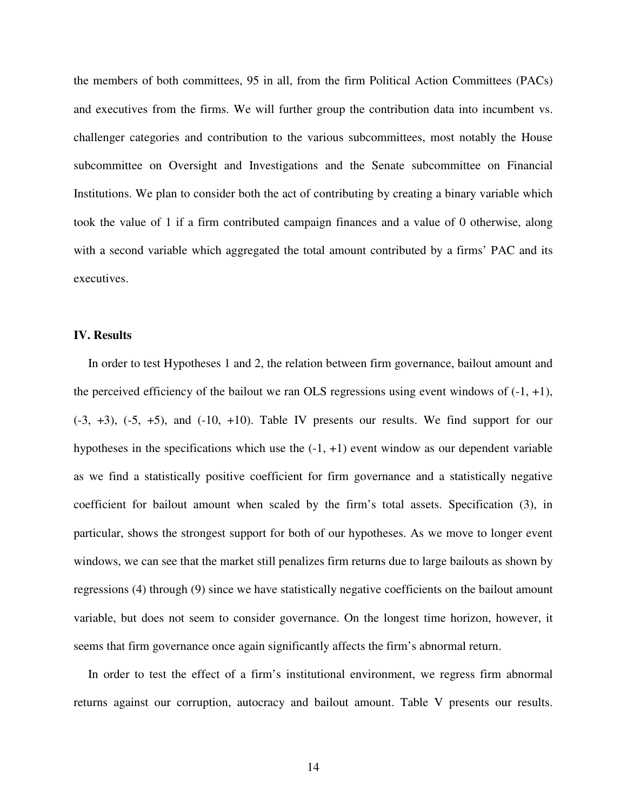the members of both committees, 95 in all, from the firm Political Action Committees (PACs) and executives from the firms. We will further group the contribution data into incumbent vs. challenger categories and contribution to the various subcommittees, most notably the House subcommittee on Oversight and Investigations and the Senate subcommittee on Financial Institutions. We plan to consider both the act of contributing by creating a binary variable which took the value of 1 if a firm contributed campaign finances and a value of 0 otherwise, along with a second variable which aggregated the total amount contributed by a firms' PAC and its executives.

#### **IV. Results**

In order to test Hypotheses 1 and 2, the relation between firm governance, bailout amount and the perceived efficiency of the bailout we ran OLS regressions using event windows of  $(-1, +1)$ ,  $(-3, +3)$ ,  $(-5, +5)$ , and  $(-10, +10)$ . Table IV presents our results. We find support for our hypotheses in the specifications which use the  $(-1, +1)$  event window as our dependent variable as we find a statistically positive coefficient for firm governance and a statistically negative coefficient for bailout amount when scaled by the firm's total assets. Specification (3), in particular, shows the strongest support for both of our hypotheses. As we move to longer event windows, we can see that the market still penalizes firm returns due to large bailouts as shown by regressions (4) through (9) since we have statistically negative coefficients on the bailout amount variable, but does not seem to consider governance. On the longest time horizon, however, it seems that firm governance once again significantly affects the firm's abnormal return.

In order to test the effect of a firm's institutional environment, we regress firm abnormal returns against our corruption, autocracy and bailout amount. Table V presents our results.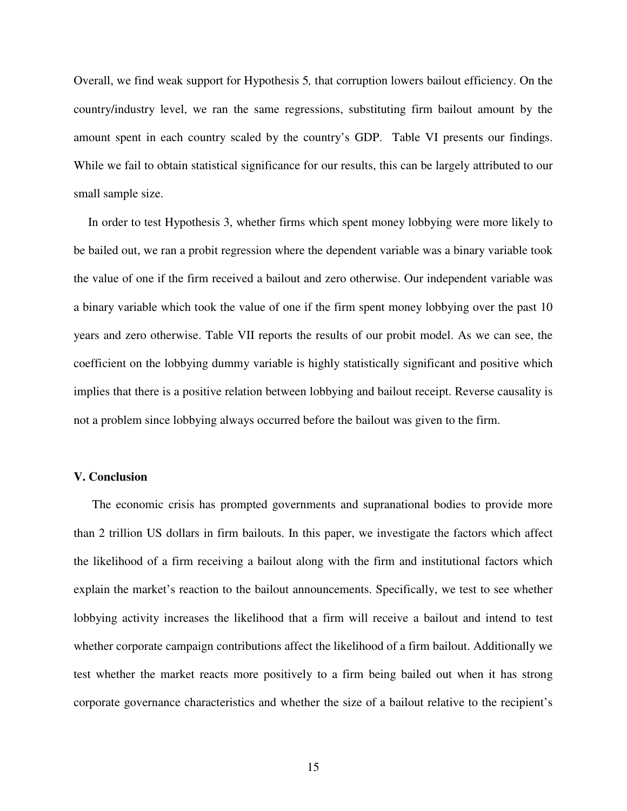Overall, we find weak support for Hypothesis 5*,* that corruption lowers bailout efficiency. On the country/industry level, we ran the same regressions, substituting firm bailout amount by the amount spent in each country scaled by the country's GDP. Table VI presents our findings. While we fail to obtain statistical significance for our results, this can be largely attributed to our small sample size.

In order to test Hypothesis 3, whether firms which spent money lobbying were more likely to be bailed out, we ran a probit regression where the dependent variable was a binary variable took the value of one if the firm received a bailout and zero otherwise. Our independent variable was a binary variable which took the value of one if the firm spent money lobbying over the past 10 years and zero otherwise. Table VII reports the results of our probit model. As we can see, the coefficient on the lobbying dummy variable is highly statistically significant and positive which implies that there is a positive relation between lobbying and bailout receipt. Reverse causality is not a problem since lobbying always occurred before the bailout was given to the firm.

#### **V. Conclusion**

The economic crisis has prompted governments and supranational bodies to provide more than 2 trillion US dollars in firm bailouts. In this paper, we investigate the factors which affect the likelihood of a firm receiving a bailout along with the firm and institutional factors which explain the market's reaction to the bailout announcements. Specifically, we test to see whether lobbying activity increases the likelihood that a firm will receive a bailout and intend to test whether corporate campaign contributions affect the likelihood of a firm bailout. Additionally we test whether the market reacts more positively to a firm being bailed out when it has strong corporate governance characteristics and whether the size of a bailout relative to the recipient's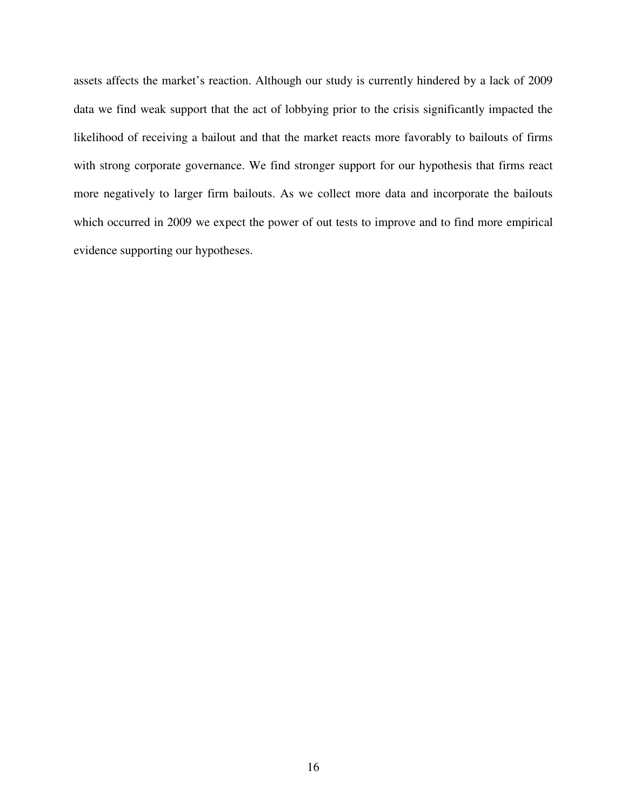assets affects the market's reaction. Although our study is currently hindered by a lack of 2009 data we find weak support that the act of lobbying prior to the crisis significantly impacted the likelihood of receiving a bailout and that the market reacts more favorably to bailouts of firms with strong corporate governance. We find stronger support for our hypothesis that firms react more negatively to larger firm bailouts. As we collect more data and incorporate the bailouts which occurred in 2009 we expect the power of out tests to improve and to find more empirical evidence supporting our hypotheses.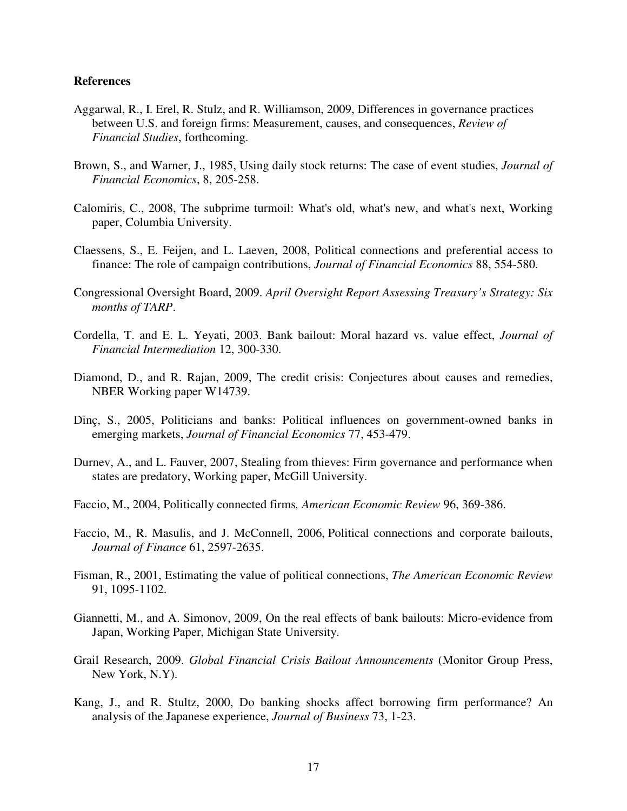#### **References**

- Aggarwal, R., I. Erel, R. Stulz, and R. Williamson, 2009, Differences in governance practices between U.S. and foreign firms: Measurement, causes, and consequences, *Review of Financial Studies*, forthcoming.
- Brown, S., and Warner, J., 1985, Using daily stock returns: The case of event studies, *Journal of Financial Economics*, 8, 205-258.
- Calomiris, C., 2008, The subprime turmoil: What's old, what's new, and what's next, Working paper, Columbia University.
- Claessens, S., E. Feijen, and L. Laeven, 2008, Political connections and preferential access to finance: The role of campaign contributions, *Journal of Financial Economics* 88, 554-580.
- Congressional Oversight Board, 2009. *April Oversight Report Assessing Treasury's Strategy: Six months of TARP*.
- Cordella, T. and E. L. Yeyati, 2003. Bank bailout: Moral hazard vs. value effect, *Journal of Financial Intermediation* 12, 300-330.
- Diamond, D., and R. Rajan, 2009, The credit crisis: Conjectures about causes and remedies, NBER Working paper W14739.
- Dinç, S., 2005, Politicians and banks: Political influences on government-owned banks in emerging markets, *Journal of Financial Economics* 77, 453-479.
- Durnev, A., and L. Fauver, 2007, Stealing from thieves: Firm governance and performance when states are predatory, Working paper, McGill University.
- Faccio, M., 2004, Politically connected firms*, American Economic Review* 96, 369-386.
- Faccio, M., R. Masulis, and J. McConnell, 2006, Political connections and corporate bailouts, *Journal of Finance* 61, 2597-2635.
- Fisman, R., 2001, Estimating the value of political connections, *The American Economic Review* 91, 1095-1102.
- Giannetti, M., and A. Simonov, 2009, On the real effects of bank bailouts: Micro-evidence from Japan, Working Paper, Michigan State University.
- Grail Research, 2009. *Global Financial Crisis Bailout Announcements* (Monitor Group Press, New York, N.Y).
- Kang, J., and R. Stultz, 2000, Do banking shocks affect borrowing firm performance? An analysis of the Japanese experience, *Journal of Business* 73, 1-23.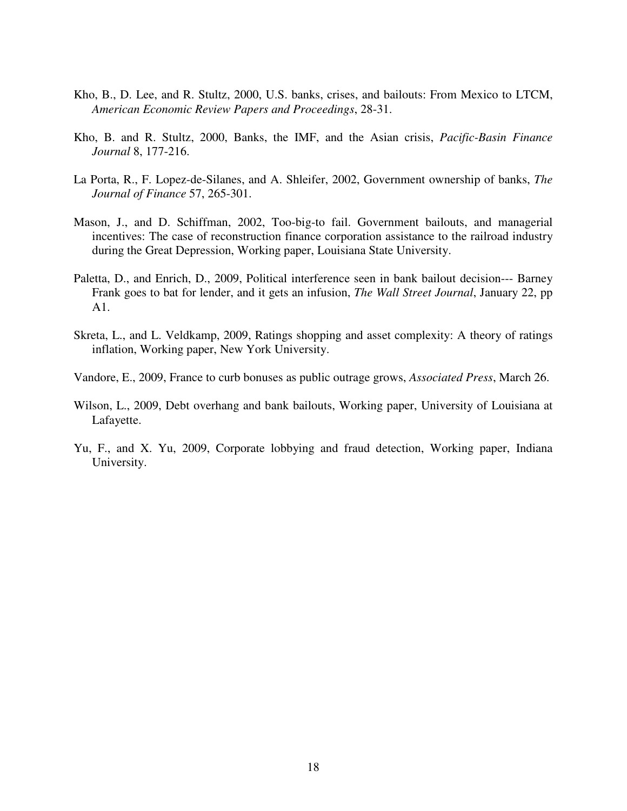- Kho, B., D. Lee, and R. Stultz, 2000, U.S. banks, crises, and bailouts: From Mexico to LTCM, *American Economic Review Papers and Proceedings*, 28-31.
- Kho, B. and R. Stultz, 2000, Banks, the IMF, and the Asian crisis, *Pacific-Basin Finance Journal* 8, 177-216.
- La Porta, R., F. Lopez-de-Silanes, and A. Shleifer, 2002, Government ownership of banks, *The Journal of Finance* 57, 265-301.
- Mason, J., and D. Schiffman, 2002, Too-big-to fail. Government bailouts, and managerial incentives: The case of reconstruction finance corporation assistance to the railroad industry during the Great Depression, Working paper, Louisiana State University.
- Paletta, D., and Enrich, D., 2009, Political interference seen in bank bailout decision--- Barney Frank goes to bat for lender, and it gets an infusion, *The Wall Street Journal*, January 22, pp A1.
- Skreta, L., and L. Veldkamp, 2009, Ratings shopping and asset complexity: A theory of ratings inflation, Working paper, New York University.
- Vandore, E., 2009, France to curb bonuses as public outrage grows, *Associated Press*, March 26.
- Wilson, L., 2009, Debt overhang and bank bailouts, Working paper, University of Louisiana at Lafayette.
- Yu, F., and X. Yu, 2009, Corporate lobbying and fraud detection, Working paper, Indiana University.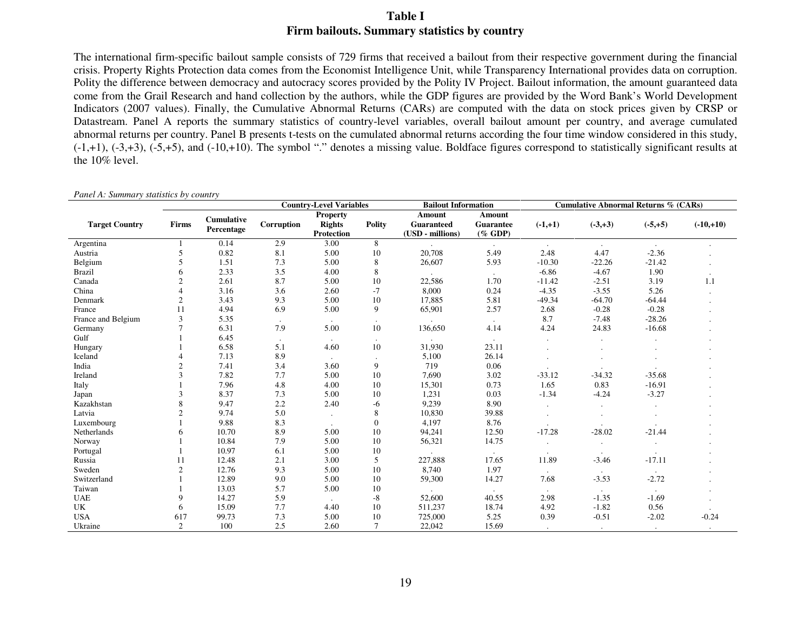## **Table I Firm bailouts. Summary statistics by country**

The international firm-specific bailout sample consists of 729 firms that received a bailout from their respective government during the financial crisis. Property Rights Protection data comes from the Economist Intelligence Unit, while Transparency International provides data on corruption. Polity the difference between democracy and autocracy scores provided by the Polity IV Project. Bailout information, the amount guaranteed data come from the Grail Research and hand collection by the authors, while the GDP figures are provided by the Word Bank's World Development Indicators (2007 values). Finally, the Cumulative Abnormal Returns (CARs) are computed with the data on stock prices given by CRSP or Datastream. Panel A reports the summary statistics of country-level variables, overall bailout amount per country, and average cumulated abnormal returns per country. Panel B presents t-tests on the cumulated abnormal returns according the four time window considered in this study,  $(-1,+1)$ ,  $(-3,+3)$ ,  $(-5,+5)$ , and  $(-10,+10)$ . The symbol "." denotes a missing value. Boldface figures correspond to statistically significant results at the 10% level.

|                       |                |            | <b>Country-Level Variables</b> |                 |                | <b>Bailout Information</b> |            | <b>Cumulative Abnormal Returns % (CARs)</b> |                      |                      |             |
|-----------------------|----------------|------------|--------------------------------|-----------------|----------------|----------------------------|------------|---------------------------------------------|----------------------|----------------------|-------------|
|                       |                | Cumulative |                                | <b>Property</b> |                | Amount                     | Amount     |                                             |                      |                      |             |
| <b>Target Country</b> | Firms          | Percentage | Corruption                     | <b>Rights</b>   | <b>Polity</b>  | <b>Guaranteed</b>          | Guarantee  | $(-1,+1)$                                   | $(-3, +3)$           | $(-5,+5)$            | $(-10,+10)$ |
|                       |                |            |                                | Protection      |                | (USD - millions)           | $(\%$ GDP) |                                             |                      |                      |             |
| Argentina             |                | 0.14       | 2.9                            | 3.00            | 8              |                            | $\cdot$    | $\sim$                                      | $\sim$               | $\ddot{\phantom{a}}$ |             |
| Austria               | 5              | 0.82       | 8.1                            | 5.00            | 10             | 20,708                     | 5.49       | 2.48                                        | 4.47                 | $-2.36$              |             |
| Belgium               |                | 1.51       | 7.3                            | 5.00            | 8              | 26,607                     | 5.93       | $-10.30$                                    | $-22.26$             | $-21.42$             |             |
| <b>Brazil</b>         |                | 2.33       | 3.5                            | 4.00            | 8              |                            | $\bullet$  | $-6.86$                                     | $-4.67$              | 1.90                 |             |
| Canada                | $\overline{2}$ | 2.61       | 8.7                            | 5.00            | 10             | 22,586                     | 1.70       | $-11.42$                                    | $-2.51$              | 3.19                 | 1.1         |
| China                 |                | 3.16       | 3.6                            | 2.60            | $-7$           | 8,000                      | 0.24       | $-4.35$                                     | $-3.55$              | 5.26                 |             |
| Denmark               | $\overline{2}$ | 3.43       | 9.3                            | 5.00            | 10             | 17,885                     | 5.81       | $-49.34$                                    | $-64.70$             | $-64.44$             |             |
| France                | 11             | 4.94       | 6.9                            | 5.00            | 9              | 65,901                     | 2.57       | 2.68                                        | $-0.28$              | $-0.28$              |             |
| France and Belgium    | 3              | 5.35       |                                |                 | $\blacksquare$ |                            |            | 8.7                                         | $-7.48$              | $-28.26$             |             |
| Germany               |                | 6.31       | 7.9                            | 5.00            | 10             | 136,650                    | 4.14       | 4.24                                        | 24.83                | $-16.68$             |             |
| Gulf                  |                | 6.45       |                                | $\cdot$         | $\cdot$        |                            |            |                                             | $\ddot{\phantom{a}}$ |                      |             |
| Hungary               |                | 6.58       | 5.1                            | 4.60            | 10             | 31,930                     | 23.11      |                                             |                      |                      |             |
| Iceland               |                | 7.13       | 8.9                            |                 | $\cdot$        | 5,100                      | 26.14      |                                             |                      |                      |             |
| India                 | $\overline{c}$ | 7.41       | 3.4                            | 3.60            | 9              | 719                        | 0.06       |                                             |                      |                      |             |
| Ireland               | 3              | 7.82       | 7.7                            | 5.00            | 10             | 7,690                      | 3.02       | $-33.12$                                    | $-34.32$             | $-35.68$             |             |
| Italy                 |                | 7.96       | 4.8                            | 4.00            | 10             | 15,301                     | 0.73       | 1.65                                        | 0.83                 | $-16.91$             |             |
| Japan                 | 3              | 8.37       | 7.3                            | 5.00            | 10             | 1,231                      | 0.03       | $-1.34$                                     | $-4.24$              | $-3.27$              |             |
| Kazakhstan            |                | 9.47       | 2.2                            | 2.40            | $-6$           | 9,239                      | 8.90       |                                             | $\cdot$              | $\cdot$              |             |
| Latvia                |                | 9.74       | 5.0                            |                 | 8              | 10,830                     | 39.88      |                                             |                      |                      |             |
| Luxembourg            |                | 9.88       | 8.3                            |                 | $\theta$       | 4,197                      | 8.76       |                                             |                      |                      |             |
| Netherlands           |                | 10.70      | 8.9                            | 5.00            | 10             | 94,241                     | 12.50      | $-17.28$                                    | $-28.02$             | $-21.44$             |             |
| Norway                |                | 10.84      | 7.9                            | 5.00            | $10\,$         | 56,321                     | 14.75      |                                             |                      |                      |             |
| Portugal              |                | 10.97      | 6.1                            | 5.00            | 10             |                            |            |                                             |                      |                      |             |
| Russia                | 11             | 12.48      | 2.1                            | 3.00            | 5              | 227,888                    | 17.65      | 11.89                                       | $-3.46$              | $-17.11$             |             |
| Sweden                | $\overline{c}$ | 12.76      | 9.3                            | 5.00            | 10             | 8,740                      | 1.97       |                                             |                      |                      |             |
| Switzerland           |                | 12.89      | 9.0                            | 5.00            | 10             | 59,300                     | 14.27      | 7.68                                        | $-3.53$              | $-2.72$              |             |
| Taiwan                |                | 13.03      | 5.7                            | 5.00            | 10             |                            |            |                                             | $\cdot$              | $\blacksquare$       |             |
| <b>UAE</b>            |                | 14.27      | 5.9                            | $\cdot$         | $-8$           | 52,600                     | 40.55      | 2.98                                        | $-1.35$              | $-1.69$              |             |
| UK                    | 6              | 15.09      | 7.7                            | 4.40            | 10             | 511,237                    | 18.74      | 4.92                                        | $-1.82$              | 0.56                 |             |
| <b>USA</b>            | 617            | 99.73      | 7.3                            | 5.00            | 10             | 725,000                    | 5.25       | 0.39                                        | $-0.51$              | $-2.02$              | $-0.24$     |
| Ukraine               | 2              | 100        | 2.5                            | 2.60            | $\tau$         | 22,042                     | 15.69      |                                             |                      |                      |             |

*Panel A: Summary statistics by country*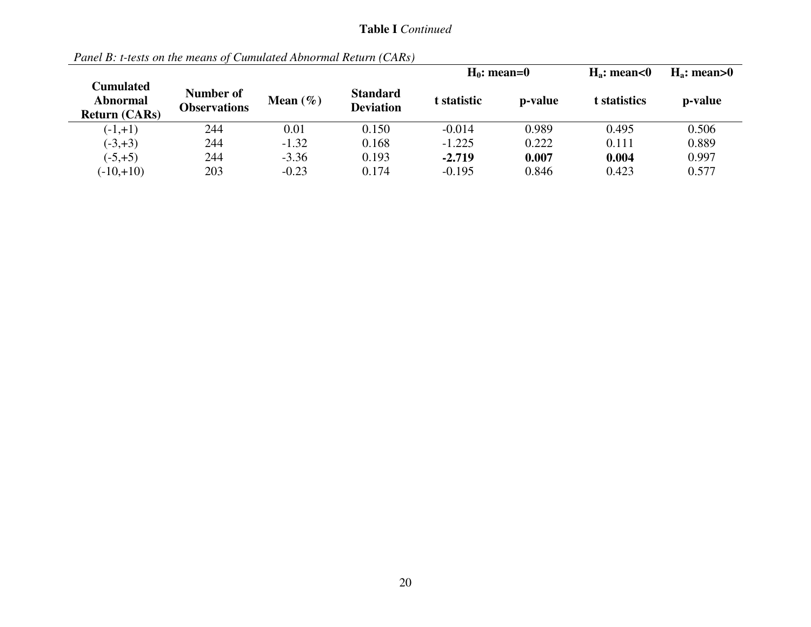## **Table I** *Continued*

|                                                      |                                  |              |                                     | $H_0$ : mean=0 |         | $H_a$ : mean<0 | $H_a$ : mean>0 |
|------------------------------------------------------|----------------------------------|--------------|-------------------------------------|----------------|---------|----------------|----------------|
| Cumulated<br><b>Abnormal</b><br><b>Return (CARs)</b> | Number of<br><b>Observations</b> | Mean $(\% )$ | <b>Standard</b><br><b>Deviation</b> | t statistic    | p-value | t statistics   | p-value        |
| $(-1,+1)$                                            | 244                              | 0.01         | 0.150                               | $-0.014$       | 0.989   | 0.495          | 0.506          |
| $(-3, +3)$                                           | 244                              | $-1.32$      | 0.168                               | $-1.225$       | 0.222   | 0.111          | 0.889          |
| $(-5, +5)$                                           | 244                              | $-3.36$      | 0.193                               | $-2.719$       | 0.007   | 0.004          | 0.997          |
| $(-10,+10)$                                          | 203                              | $-0.23$      | 0.174                               | $-0.195$       | 0.846   | 0.423          | 0.577          |

*Panel B: t-tests on the means of Cumulated Abnormal Return (CARs)*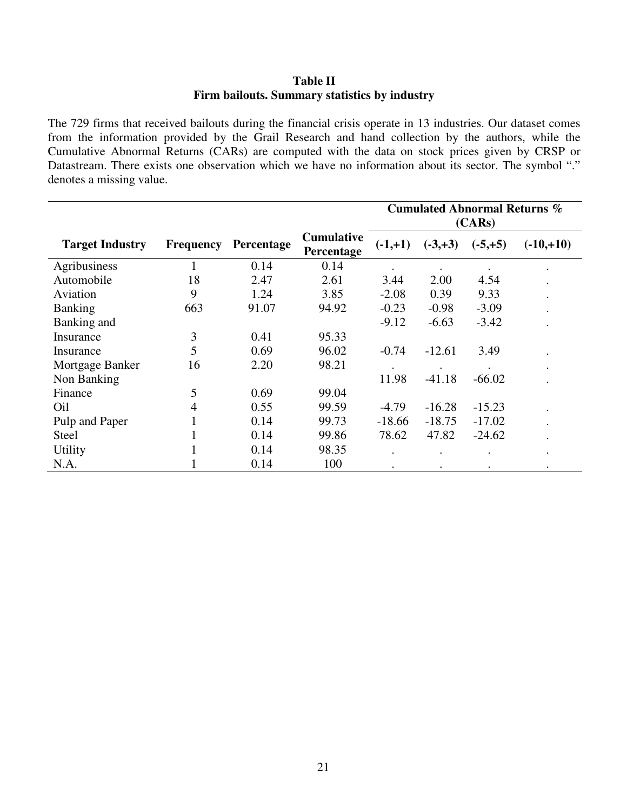## **Table II Firm bailouts. Summary statistics by industry**

The 729 firms that received bailouts during the financial crisis operate in 13 industries. Our dataset comes from the information provided by the Grail Research and hand collection by the authors, while the Cumulative Abnormal Returns (CARs) are computed with the data on stock prices given by CRSP or Datastream. There exists one observation which we have no information about its sector. The symbol "." denotes a missing value.

|                        |                  |            |                                 | <b>Cumulated Abnormal Returns %</b><br>(CARS) |            |            |             |  |
|------------------------|------------------|------------|---------------------------------|-----------------------------------------------|------------|------------|-------------|--|
| <b>Target Industry</b> | <b>Frequency</b> | Percentage | <b>Cumulative</b><br>Percentage | $(-1,+1)$                                     | $(-3, +3)$ | $(-5, +5)$ | $(-10,+10)$ |  |
| Agribusiness           |                  | 0.14       | 0.14                            |                                               |            |            | $\bullet$   |  |
| Automobile             | 18               | 2.47       | 2.61                            | 3.44                                          | 2.00       | 4.54       | $\bullet$   |  |
| Aviation               | 9                | 1.24       | 3.85                            | $-2.08$                                       | 0.39       | 9.33       | $\bullet$   |  |
| <b>Banking</b>         | 663              | 91.07      | 94.92                           | $-0.23$                                       | $-0.98$    | $-3.09$    |             |  |
| Banking and            |                  |            |                                 | $-9.12$                                       | $-6.63$    | $-3.42$    |             |  |
| Insurance              | 3                | 0.41       | 95.33                           |                                               |            |            |             |  |
| Insurance              | 5                | 0.69       | 96.02                           | $-0.74$                                       | $-12.61$   | 3.49       |             |  |
| Mortgage Banker        | 16               | 2.20       | 98.21                           |                                               |            |            | $\bullet$   |  |
| Non Banking            |                  |            |                                 | 11.98                                         | $-41.18$   | $-66.02$   |             |  |
| Finance                | 5                | 0.69       | 99.04                           |                                               |            |            |             |  |
| Oil                    | 4                | 0.55       | 99.59                           | $-4.79$                                       | $-16.28$   | $-15.23$   | $\bullet$   |  |
| Pulp and Paper         | 1                | 0.14       | 99.73                           | $-18.66$                                      | $-18.75$   | $-17.02$   |             |  |
| Steel                  |                  | 0.14       | 99.86                           | 78.62                                         | 47.82      | $-24.62$   |             |  |
| <b>Utility</b>         |                  | 0.14       | 98.35                           |                                               |            |            | $\bullet$   |  |
| N.A.                   |                  | 0.14       | 100                             |                                               |            |            |             |  |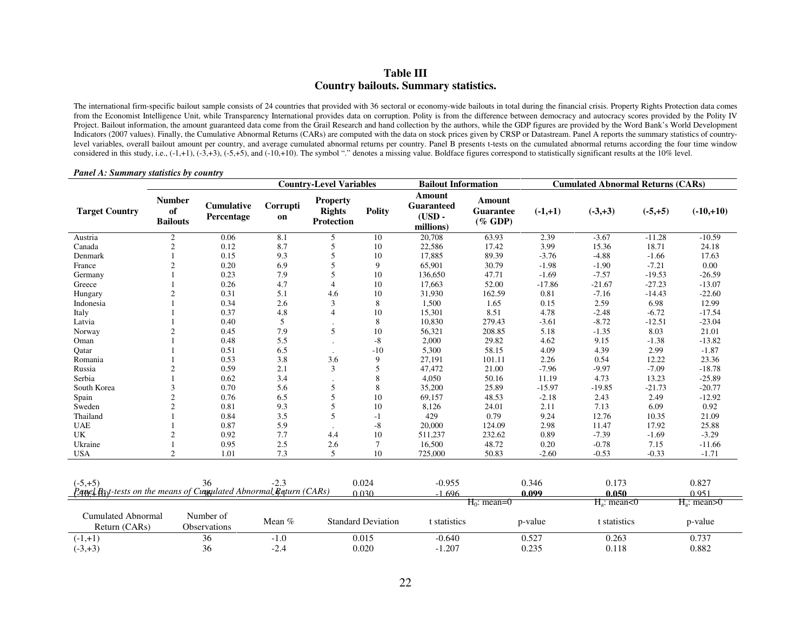### **Table III Country bailouts. Summary statistics.**

The international firm-specific bailout sample consists of 24 countries that provided with 36 sectoral or economy-wide bailouts in total during the financial crisis. Property Rights Protection data comes from the Economist Intelligence Unit, while Transparency International provides data on corruption. Polity is from the difference between democracy and autocracy scores provided by the Polity IV Project. Bailout information, the amount guaranteed data come from the Grail Research and hand collection by the authors, while the GDP figures are provided by the Word Bank's World Development Indicators (2007 values). Finally, the Cumulative Abnormal Returns (CARs) are computed with the data on stock prices given by CRSP or Datastream. Panel A reports the summary statistics of countrylevel variables, overall bailout amount per country, and average cumulated abnormal returns per country. Panel B presents t-tests on the cumulated abnormal returns according the four time window considered in this study, i.e.,  $(-1, +1)$ ,  $(-3, +3)$ ,  $(-5, +5)$ , and  $(-10, +10)$ . The symbol "." denotes a missing value. Boldface figures correspond to statistically significant results at the  $10\%$  level.

#### *Panel A: Summary statistics by country*

|                                                                                      |                                        |                           |                | <b>Country-Level Variables</b>                        |                           | <b>Bailout Information</b>                           |                                   |                | <b>Cumulated Abnormal Returns (CARs)</b> |           |                  |
|--------------------------------------------------------------------------------------|----------------------------------------|---------------------------|----------------|-------------------------------------------------------|---------------------------|------------------------------------------------------|-----------------------------------|----------------|------------------------------------------|-----------|------------------|
| <b>Target Country</b>                                                                | <b>Number</b><br>of<br><b>Bailouts</b> | Cumulative<br>Percentage  | Corrupti<br>on | <b>Property</b><br><b>Rights</b><br><b>Protection</b> | <b>Polity</b>             | Amount<br><b>Guaranteed</b><br>$(USD -$<br>millions) | Amount<br>Guarantee<br>$(\%$ GDP) | $(-1,+1)$      | $(-3, +3)$                               | $(-5,+5)$ | $(-10,+10)$      |
| Austria                                                                              | $\overline{2}$                         | 0.06                      | 8.1            | 5                                                     | 10                        | 20,708                                               | 63.93                             | 2.39           | $-3.67$                                  | $-11.28$  | $-10.59$         |
| Canada                                                                               | $\overline{c}$                         | 0.12                      | 8.7            | 5                                                     | 10                        | 22,586                                               | 17.42                             | 3.99           | 15.36                                    | 18.71     | 24.18            |
| Denmark                                                                              |                                        | 0.15                      | 9.3            | 5                                                     | 10                        | 17,885                                               | 89.39                             | $-3.76$        | $-4.88$                                  | $-1.66$   | 17.63            |
| France                                                                               | 2                                      | 0.20                      | 6.9            | $\overline{5}$                                        | 9                         | 65,901                                               | 30.79                             | $-1.98$        | $-1.90$                                  | $-7.21$   | $0.00\,$         |
| Germany                                                                              |                                        | 0.23                      | 7.9            | 5                                                     | 10                        | 136,650                                              | 47.71                             | $-1.69$        | $-7.57$                                  | $-19.53$  | $-26.59$         |
| Greece                                                                               |                                        | 0.26                      | 4.7            | 4                                                     | 10                        | 17,663                                               | 52.00                             | $-17.86$       | $-21.67$                                 | $-27.23$  | $-13.07$         |
| Hungary                                                                              | 2                                      | 0.31                      | 5.1            | 4.6                                                   | 10                        | 31,930                                               | 162.59                            | 0.81           | $-7.16$                                  | $-14.43$  | $-22.60$         |
| Indonesia                                                                            |                                        | 0.34                      | 2.6            | 3                                                     | 8                         | 1,500                                                | 1.65                              | 0.15           | 2.59                                     | 6.98      | 12.99            |
| Italy                                                                                |                                        | 0.37                      | 4.8            | $\overline{4}$                                        | 10                        | 15,301                                               | 8.51                              | 4.78           | $-2.48$                                  | $-6.72$   | $-17.54$         |
| Latvia                                                                               |                                        | 0.40                      | 5              |                                                       | 8                         | 10,830                                               | 279.43                            | $-3.61$        | $-8.72$                                  | $-12.51$  | $-23.04$         |
| Norway                                                                               | $\overline{c}$                         | 0.45                      | 7.9            | 5                                                     | 10                        | 56,321                                               | 208.85                            | 5.18           | $-1.35$                                  | 8.03      | 21.01            |
| Oman                                                                                 |                                        | 0.48                      | 5.5            |                                                       | $-8$                      | 2,000                                                | 29.82                             | 4.62           | 9.15                                     | $-1.38$   | $-13.82$         |
| Oatar                                                                                |                                        | 0.51                      | 6.5            | $\cdot$                                               | $-10$                     | 5,300                                                | 58.15                             | 4.09           | 4.39                                     | 2.99      | $-1.87$          |
| Romania                                                                              |                                        | 0.53                      | 3.8            | 3.6                                                   | 9                         | 27,191                                               | 101.11                            | 2.26           | 0.54                                     | 12.22     | 23.36            |
| Russia                                                                               | 2                                      | 0.59                      | 2.1            | 3                                                     | 5                         | 47,472                                               | 21.00                             | $-7.96$        | $-9.97$                                  | $-7.09$   | $-18.78$         |
| Serbia                                                                               |                                        | 0.62                      | 3.4            |                                                       | 8                         | 4,050                                                | 50.16                             | 11.19          | 4.73                                     | 13.23     | $-25.89$         |
| South Korea                                                                          | 3                                      | 0.70                      | 5.6            | 5                                                     | 8                         | 35,200                                               | 25.89                             | $-15.97$       | $-19.85$                                 | $-21.73$  | $-20.77$         |
| Spain                                                                                | $\overline{2}$                         | 0.76                      | 6.5            | 5                                                     | 10                        | 69,157                                               | 48.53                             | $-2.18$        | 2.43                                     | 2.49      | $-12.92$         |
| Sweden                                                                               | $\overline{2}$                         | 0.81                      | 9.3            | 5                                                     | 10                        | 8,126                                                | 24.01                             | 2.11           | 7.13                                     | 6.09      | 0.92             |
| Thailand                                                                             |                                        | 0.84                      | 3.5            | 5                                                     | $-1$                      | 429                                                  | 0.79                              | 9.24           | 12.76                                    | 10.35     | 21.09            |
| <b>UAE</b>                                                                           |                                        | 0.87                      | 5.9            |                                                       | $-8$                      | 20,000                                               | 124.09                            | 2.98           | 11.47                                    | 17.92     | 25.88            |
| <b>UK</b>                                                                            | 2                                      | 0.92                      | 7.7            | 4.4                                                   | 10                        | 511,237                                              | 232.62                            | 0.89           | $-7.39$                                  | $-1.69$   | $-3.29$          |
| Ukraine                                                                              |                                        | 0.95                      | 2.5            | 2.6                                                   | $\tau$                    | 16,500                                               | 48.72                             | 0.20           | $-0.78$                                  | 7.15      | $-11.66$         |
| <b>USA</b>                                                                           | $\overline{2}$                         | 1.01                      | 7.3            | 5                                                     | 10                        | 725,000                                              | 50.83                             | $-2.60$        | $-0.53$                                  | $-0.33$   | $-1.71$          |
| $(-5, +5)$<br>$P$ anel $R_1$ +tests on the means of Cumulated Abnormal Raturn (CARs) |                                        | 36                        | $-2.3$         |                                                       | 0.024<br>0.030            | $-0.955$<br>$-1.696$                                 |                                   | 0.346<br>0.099 | 0.173<br>0.050                           |           | 0.827<br>0.951   |
|                                                                                      |                                        |                           |                |                                                       |                           |                                                      | $H_0$ : mean=0                    |                | $H_a$ : mean<0                           |           | $H_a$ : mean > 0 |
| <b>Cumulated Abnormal</b><br>Return (CARs)                                           |                                        | Number of<br>Observations | Mean %         |                                                       | <b>Standard Deviation</b> | t statistics                                         |                                   | p-value        | t statistics                             |           | p-value          |
| $(-1,+1)$                                                                            |                                        | 36                        | $-1.0$         |                                                       | 0.015                     | $-0.640$                                             |                                   | 0.527          | 0.263                                    |           | 0.737            |
| $(-3, +3)$                                                                           |                                        | 36                        | $-2.4$         |                                                       | 0.020                     | $-1.207$                                             |                                   | 0.235          | 0.118                                    |           | 0.882            |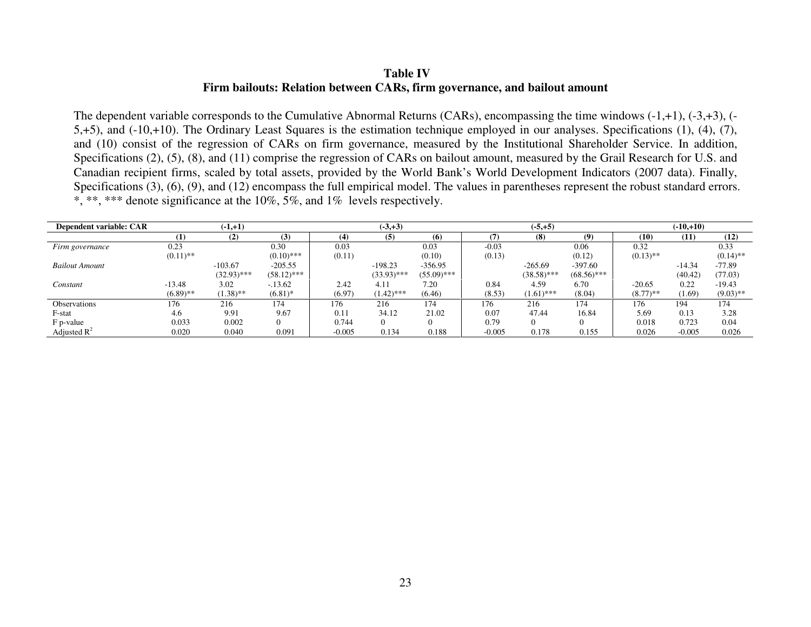## **Table IV Firm bailouts: Relation between CARs, firm governance, and bailout amount**

The dependent variable corresponds to the Cumulative Abnormal Returns (CARs), encompassing the time windows (-1,+1), (-3,+3), (- 5,+5), and (-10,+10). The Ordinary Least Squares is the estimation technique employed in our analyses. Specifications (1), (4), (7), and (10) consist of the regression of CARs on firm governance, measured by the Institutional Shareholder Service. In addition, Specifications (2), (5), (8), and (11) comprise the regression of CARs on bailout amount, measured by the Grail Research for U.S. and Canadian recipient firms, scaled by total assets, provided by the World Bank's World Development Indicators (2007 data). Finally, Specifications (3), (6), (9), and (12) encompass the full empirical model. The values in parentheses represent the robust standard errors. \*, \*\*, \*\*\* denote significance at the 10%,  $5\%$ , and 1% levels respectively.

| Dependent variable: CAR |             | $(-1,+1)$     |               |          | $(-3, +3)$    |               |          | $(-5, +5)$    |               |             | $(-10,+10)$ |             |
|-------------------------|-------------|---------------|---------------|----------|---------------|---------------|----------|---------------|---------------|-------------|-------------|-------------|
|                         |             | (2)           | (3)           | (4)      | (5)           | (6)           |          | (8)           | (9)           | (10)        | (11)        | (12)        |
| Firm governance         | 0.23        |               | 0.30          | 0.03     |               | 0.03          | $-0.03$  |               | 0.06          | 0.32        |             | 0.33        |
|                         | $(0.11)$ ** |               | $(0.10)$ ***  | (0.11)   |               | (0.10)        | (0.13)   |               | (0.12)        | $(0.13)$ ** |             | $(0.14)$ ** |
| <b>Bailout Amount</b>   |             | $-103.67$     | $-205.55$     |          | $-198.23$     | $-356.95$     |          | $-265.69$     | $-397.60$     |             | $-14.34$    | -77.89      |
|                         |             | $(32.93)$ *** | $(58.12)$ *** |          | $(33.93)$ *** | $(55.09)$ *** |          | $(38.58)$ *** | $(68.56)$ *** |             | (40.42)     | (77.03)     |
| Constant                | $-13.48$    | 3.02          | $-.13.62$     | 2.42     | 4.11          | 7.20          | 0.84     | 4.59          | 6.70          | $-20.65$    | 0.22        | $-19.43$    |
|                         | $(6.89)$ ** | $(1.38)$ **   | $(6.81)$ *    | (6.97)   | $(1.42)$ ***  | (6.46)        | (8.53)   | $(1.61)$ ***  | (8.04)        | $(8.77)$ ** | (1.69)      | $(9.03)$ ** |
| <b>Observations</b>     | 176         | 216           | 174           | 176      | 216           | 174           | 176      | 216           | 174           | 176         | 194         | 174         |
| F-stat                  | 4.6         | 9.91          | 9.67          | 0.11     | 34.12         | 21.02         | 0.07     | 47.44         | 16.84         | 5.69        | 0.13        | 3.28        |
| F p-value               | 0.033       | 0.002         |               | 0.744    | $\Omega$      | $\Omega$      | 0.79     | $^{\circ}$    |               | 0.018       | 0.723       | 0.04        |
| Adjusted $\mathbb{R}^2$ | 0.020       | 0.040         | 0.091         | $-0.005$ | 0.134         | 0.188         | $-0.005$ | 0.178         | 0.155         | 0.026       | $-0.005$    | 0.026       |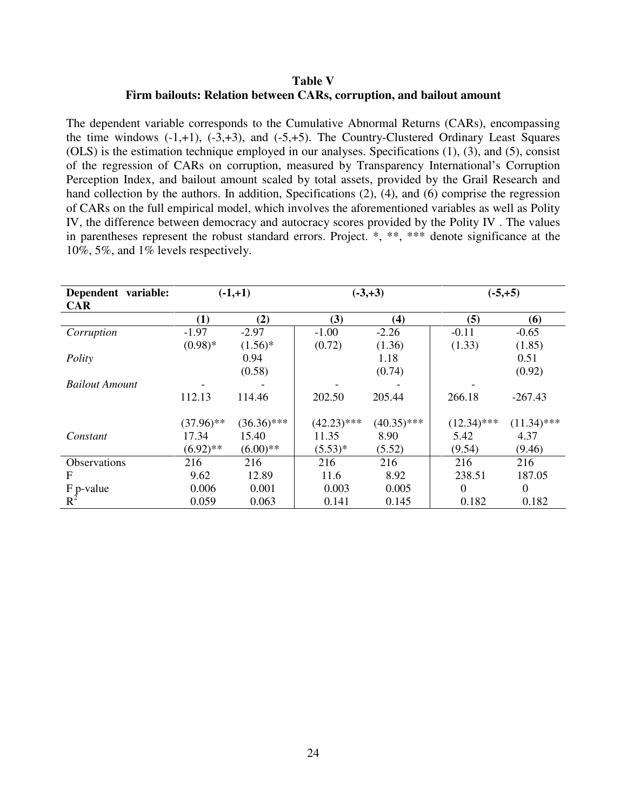### **Table V Firm bailouts: Relation between CARs, corruption, and bailout amount**

The dependent variable corresponds to the Cumulative Abnormal Returns (CARs), encompassing the time windows  $(-1,+1)$ ,  $(-3,+3)$ , and  $(-5,+5)$ . The Country-Clustered Ordinary Least Squares (OLS) is the estimation technique employed in our analyses. Specifications (1), (3), and (5), consist of the regression of CARs on corruption, measured by Transparency International's Corruption Perception Index, and bailout amount scaled by total assets, provided by the Grail Research and hand collection by the authors. In addition, Specifications (2), (4), and (6) comprise the regression of CARs on the full empirical model, which involves the aforementioned variables as well as Polity IV, the difference between democracy and autocracy scores provided by the Polity IV . The values in parentheses represent the robust standard errors. Project. \*, \*\*, \*\*\* denote significance at the 10%, 5%, and 1% levels respectively.

| Dependent variable:            |              | $(-1,+1)$     | $(-3, +3)$    |               |               | $(-5,+5)$     |
|--------------------------------|--------------|---------------|---------------|---------------|---------------|---------------|
| <b>CAR</b>                     |              |               |               |               |               |               |
|                                | (1)          | (2)           | (3)           | (4)           | (5)           | (6)           |
| Corruption                     | $-1.97$      | $-2.97$       | $-1.00$       | $-2.26$       | $-0.11$       | $-0.65$       |
|                                | $(0.98)*$    | $(1.56)^*$    | (0.72)        | (1.36)        | (1.33)        | (1.85)        |
| Polity                         |              | 0.94          |               | 1.18          |               | 0.51          |
|                                |              | (0.58)        |               | (0.74)        |               | (0.92)        |
| <b>Bailout Amount</b>          |              |               |               |               |               |               |
|                                | 112.13       | 114.46        | 202.50        | 205.44        | 266.18        | $-267.43$     |
|                                |              |               |               |               |               |               |
|                                | $(37.96)$ ** | $(36.36)$ *** | $(42.23)$ *** | $(40.35)$ *** | $(12.34)$ *** | $(11.34)$ *** |
| Constant                       | 17.34        | 15.40         | 11.35         | 8.90          | 5.42          | 4.37          |
|                                | $(6.92)$ **  | $(6.00)**$    | $(5.53)*$     | (5.52)        | (9.54)        | (9.46)        |
| Observations                   | 216          | 216           | 216           | 216           | 216           | 216           |
| F                              | 9.62         | 12.89         | 11.6          | 8.92          | 238.51        | 187.05        |
| $F_P$ -value<br>R <sup>2</sup> | 0.006        | 0.001         | 0.003         | 0.005         | $\Omega$      | $\theta$      |
|                                | 0.059        | 0.063         | 0.141         | 0.145         | 0.182         | 0.182         |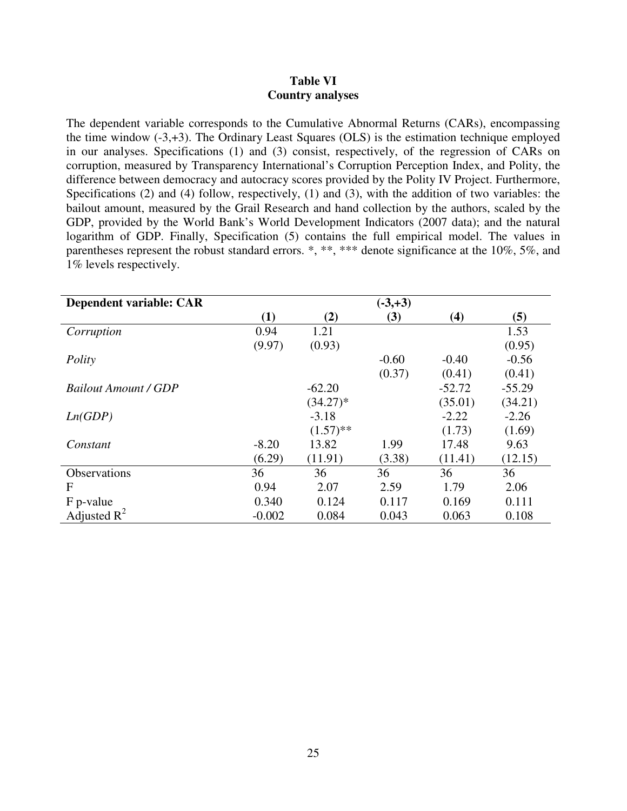### **Table VI Country analyses**

The dependent variable corresponds to the Cumulative Abnormal Returns (CARs), encompassing the time window (-3,+3). The Ordinary Least Squares (OLS) is the estimation technique employed in our analyses. Specifications (1) and (3) consist, respectively, of the regression of CARs on corruption, measured by Transparency International's Corruption Perception Index, and Polity, the difference between democracy and autocracy scores provided by the Polity IV Project. Furthermore, Specifications (2) and (4) follow, respectively, (1) and (3), with the addition of two variables: the bailout amount, measured by the Grail Research and hand collection by the authors, scaled by the GDP, provided by the World Bank's World Development Indicators (2007 data); and the natural logarithm of GDP. Finally, Specification (5) contains the full empirical model. The values in parentheses represent the robust standard errors. \*, \*\*, \*\*\* denote significance at the 10%, 5%, and 1% levels respectively.

| Dependent variable: CAR     |          |             | $(-3, +3)$ |          |          |
|-----------------------------|----------|-------------|------------|----------|----------|
|                             | (1)      | (2)         | (3)        | (4)      | (5)      |
| Corruption                  | 0.94     | 1.21        |            |          | 1.53     |
|                             | (9.97)   | (0.93)      |            |          | (0.95)   |
| Polity                      |          |             | $-0.60$    | $-0.40$  | $-0.56$  |
|                             |          |             | (0.37)     | (0.41)   | (0.41)   |
| <b>Bailout Amount / GDP</b> |          | $-62.20$    |            | $-52.72$ | $-55.29$ |
|                             |          | $(34.27)^*$ |            | (35.01)  | (34.21)  |
| Ln(GDP)                     |          | $-3.18$     |            | $-2.22$  | $-2.26$  |
|                             |          | $(1.57)$ ** |            | (1.73)   | (1.69)   |
| Constant                    | $-8.20$  | 13.82       | 1.99       | 17.48    | 9.63     |
|                             | (6.29)   | (11.91)     | (3.38)     | (11.41)  | (12.15)  |
| <b>Observations</b>         | 36       | 36          | 36         | 36       | 36       |
| F                           | 0.94     | 2.07        | 2.59       | 1.79     | 2.06     |
| F p-value                   | 0.340    | 0.124       | 0.117      | 0.169    | 0.111    |
| Adjusted $R^2$              | $-0.002$ | 0.084       | 0.043      | 0.063    | 0.108    |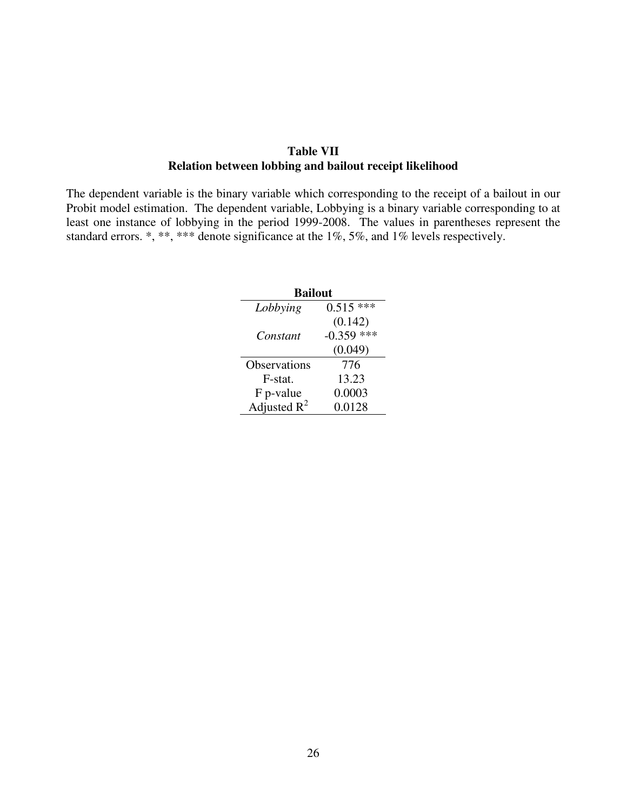## **Table VII Relation between lobbing and bailout receipt likelihood**

The dependent variable is the binary variable which corresponding to the receipt of a bailout in our Probit model estimation. The dependent variable, Lobbying is a binary variable corresponding to at least one instance of lobbying in the period 1999-2008. The values in parentheses represent the standard errors. \*, \*\*, \*\*\* denote significance at the 1%, 5%, and 1% levels respectively.

| <b>Bailout</b> |              |  |  |  |  |
|----------------|--------------|--|--|--|--|
| Lobbying       | $0.515$ ***  |  |  |  |  |
|                | (0.142)      |  |  |  |  |
| Constant       | $-0.359$ *** |  |  |  |  |
|                | (0.049)      |  |  |  |  |
| Observations   | 776          |  |  |  |  |
| F-stat.        | 13.23        |  |  |  |  |
| F p-value      | 0.0003       |  |  |  |  |
| Adjusted $R^2$ | 0.0128       |  |  |  |  |